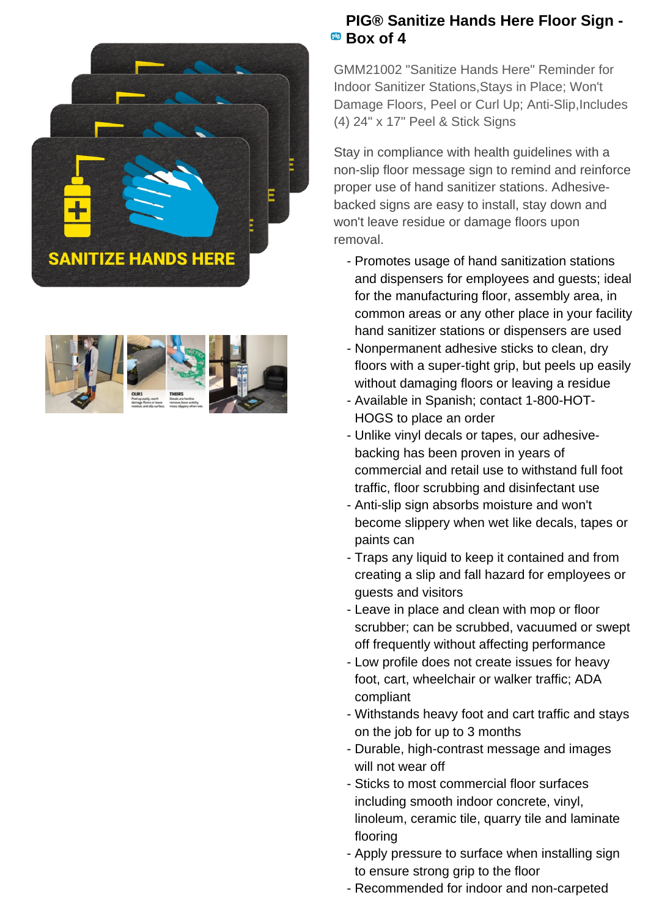



## **PIG® Sanitize Hands Here Floor Sign -** <sup>**B<sub>B</sub></sup> Box of 4</sup>**

GMM21002 "Sanitize Hands Here" Reminder for Indoor Sanitizer Stations,Stays in Place; Won't Damage Floors, Peel or Curl Up; Anti-Slip, Includes (4) 24" x 17" Peel & Stick Signs

Stay in compliance with health guidelines with a non-slip floor message sign to remind and reinforce proper use of hand sanitizer stations. Adhesivebacked signs are easy to install, stay down and won't leave residue or damage floors upon removal.

- Promotes usage of hand sanitization stations and dispensers for employees and guests; ideal for the manufacturing floor, assembly area, in common areas or any other place in your facility hand sanitizer stations or dispensers are used
- Nonpermanent adhesive sticks to clean, dry floors with a super-tight grip, but peels up easily without damaging floors or leaving a residue
- Available in Spanish; contact 1-800-HOT-HOGS to place an order
- Unlike vinyl decals or tapes, our adhesive- backing has been proven in years of commercial and retail use to withstand full foot traffic, floor scrubbing and disinfectant use
- Anti-slip sign absorbs moisture and won't become slippery when wet like decals, tapes or paints can
- Traps any liquid to keep it contained and from creating a slip and fall hazard for employees or guests and visitors
- Leave in place and clean with mop or floor scrubber; can be scrubbed, vacuumed or swept off frequently without affecting performance
- Low profile does not create issues for heavy foot, cart, wheelchair or walker traffic; ADA compliant
- Withstands heavy foot and cart traffic and stays on the job for up to 3 months
- Durable, high-contrast message and images will not wear off
- Sticks to most commercial floor surfaces including smooth indoor concrete, vinyl, linoleum, ceramic tile, quarry tile and laminate flooring
- Apply pressure to surface when installing sign to ensure strong grip to the floor
- Recommended for indoor and non-carpeted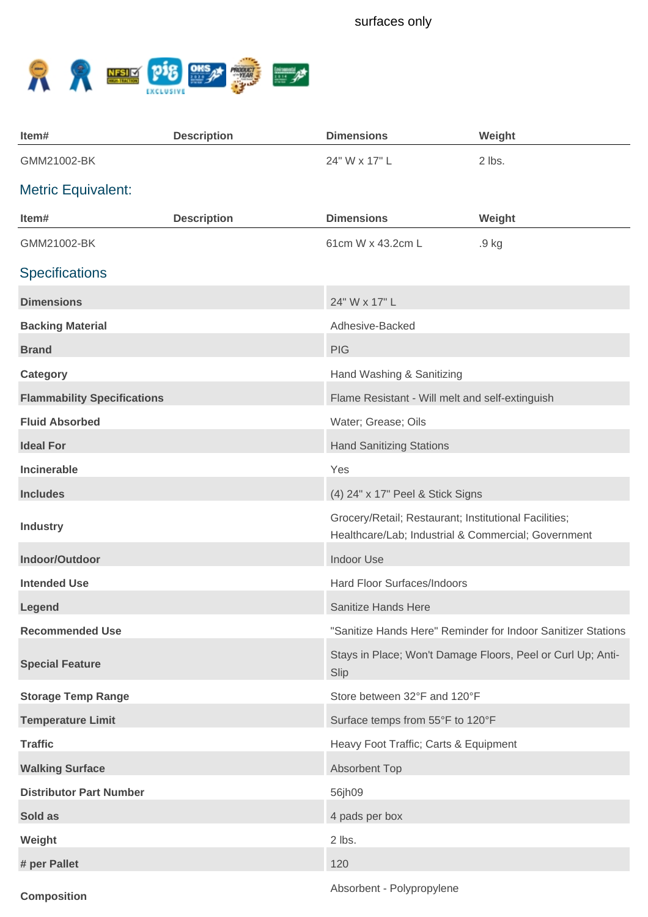

| Item#                              | <b>Description</b> | <b>Dimensions</b>                                                                                            | Weight                                                       |
|------------------------------------|--------------------|--------------------------------------------------------------------------------------------------------------|--------------------------------------------------------------|
| GMM21002-BK                        |                    | 24" W x 17" L                                                                                                | 2 lbs.                                                       |
| <b>Metric Equivalent:</b>          |                    |                                                                                                              |                                                              |
| Item#                              | <b>Description</b> | <b>Dimensions</b>                                                                                            | Weight                                                       |
| GMM21002-BK                        |                    | 61cm W x 43.2cm L                                                                                            | .9 kg                                                        |
| <b>Specifications</b>              |                    |                                                                                                              |                                                              |
| <b>Dimensions</b>                  |                    | 24" W x 17" L                                                                                                |                                                              |
| <b>Backing Material</b>            |                    | Adhesive-Backed                                                                                              |                                                              |
| <b>Brand</b>                       |                    | <b>PIG</b>                                                                                                   |                                                              |
| <b>Category</b>                    |                    | Hand Washing & Sanitizing                                                                                    |                                                              |
| <b>Flammability Specifications</b> |                    | Flame Resistant - Will melt and self-extinguish                                                              |                                                              |
| <b>Fluid Absorbed</b>              |                    | Water; Grease; Oils                                                                                          |                                                              |
| <b>Ideal For</b>                   |                    | <b>Hand Sanitizing Stations</b>                                                                              |                                                              |
| <b>Incinerable</b>                 |                    | Yes                                                                                                          |                                                              |
| <b>Includes</b>                    |                    | (4) 24" x 17" Peel & Stick Signs                                                                             |                                                              |
| <b>Industry</b>                    |                    | Grocery/Retail; Restaurant; Institutional Facilities;<br>Healthcare/Lab; Industrial & Commercial; Government |                                                              |
| Indoor/Outdoor                     |                    | <b>Indoor Use</b>                                                                                            |                                                              |
| <b>Intended Use</b>                |                    | Hard Floor Surfaces/Indoors                                                                                  |                                                              |
| Legend                             |                    | Sanitize Hands Here                                                                                          |                                                              |
| <b>Recommended Use</b>             |                    |                                                                                                              | "Sanitize Hands Here" Reminder for Indoor Sanitizer Stations |
| <b>Special Feature</b>             |                    | Slip                                                                                                         | Stays in Place; Won't Damage Floors, Peel or Curl Up; Anti-  |
| <b>Storage Temp Range</b>          |                    | Store between 32°F and 120°F                                                                                 |                                                              |
| <b>Temperature Limit</b>           |                    | Surface temps from 55°F to 120°F                                                                             |                                                              |
| <b>Traffic</b>                     |                    | Heavy Foot Traffic; Carts & Equipment                                                                        |                                                              |
| <b>Walking Surface</b>             |                    | Absorbent Top                                                                                                |                                                              |
| <b>Distributor Part Number</b>     |                    | 56jh09                                                                                                       |                                                              |
| Sold as                            |                    | 4 pads per box                                                                                               |                                                              |
| Weight                             |                    | 2 lbs.                                                                                                       |                                                              |
| # per Pallet                       |                    | 120                                                                                                          |                                                              |
|                                    |                    |                                                                                                              |                                                              |

**Composition**

Absorbent - Polypropylene